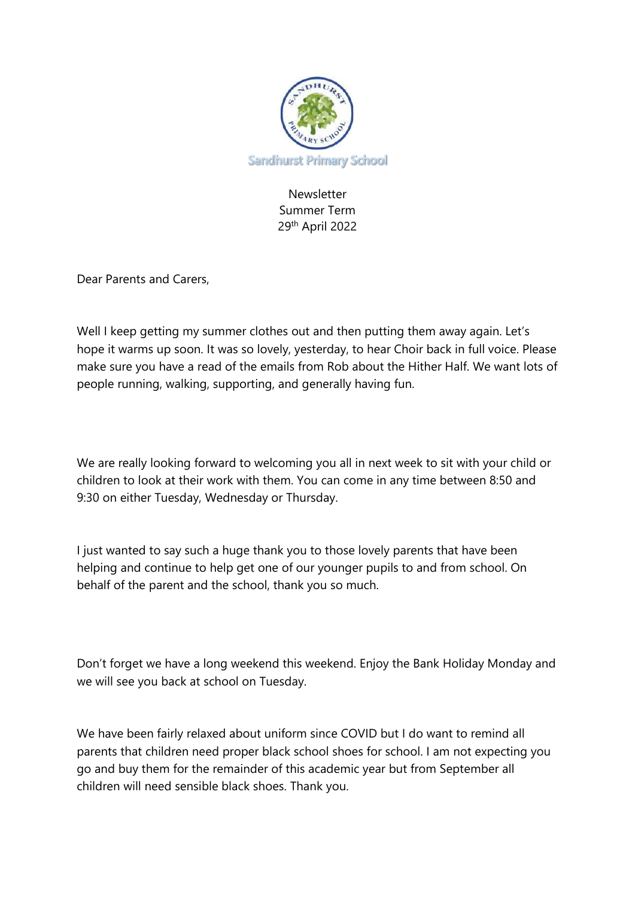

Newsletter Summer Term 29th April 2022

Dear Parents and Carers,

Well I keep getting my summer clothes out and then putting them away again. Let's hope it warms up soon. It was so lovely, yesterday, to hear Choir back in full voice. Please make sure you have a read of the emails from Rob about the Hither Half. We want lots of people running, walking, supporting, and generally having fun.

We are really looking forward to welcoming you all in next week to sit with your child or children to look at their work with them. You can come in any time between 8:50 and 9:30 on either Tuesday, Wednesday or Thursday.

I just wanted to say such a huge thank you to those lovely parents that have been helping and continue to help get one of our younger pupils to and from school. On behalf of the parent and the school, thank you so much.

Don't forget we have a long weekend this weekend. Enjoy the Bank Holiday Monday and we will see you back at school on Tuesday.

We have been fairly relaxed about uniform since COVID but I do want to remind all parents that children need proper black school shoes for school. I am not expecting you go and buy them for the remainder of this academic year but from September all children will need sensible black shoes. Thank you.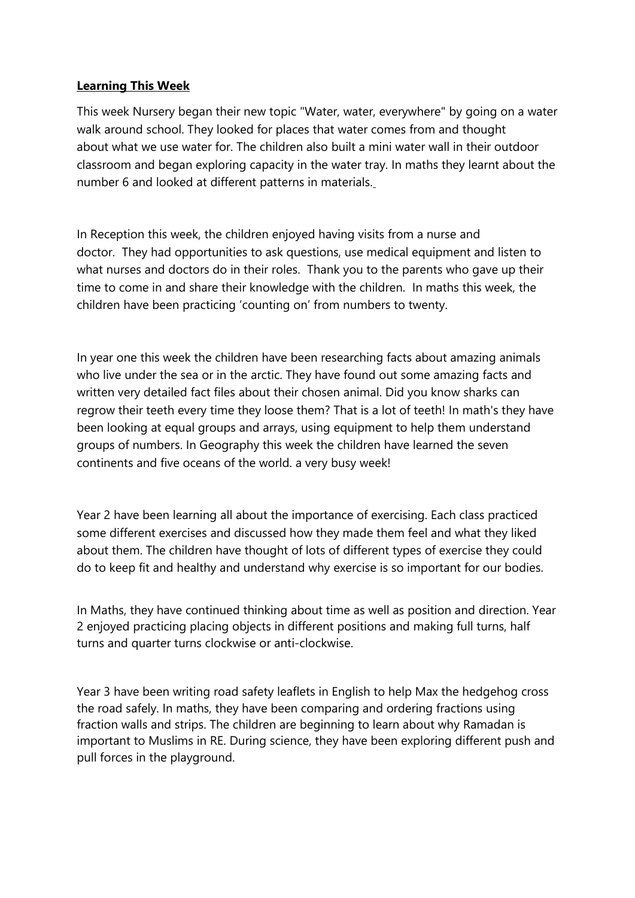### **Learning This Week**

This week Nursery began their new topic "Water, water, everywhere" by going on a water walk around school. They looked for places that water comes from and thought about what we use water for. The children also built a mini water wall in their outdoor classroom and began exploring capacity in the water tray. In maths they learnt about the number 6 and looked at different patterns in materials.

In Reception this week, the children enjoyed having visits from a nurse and doctor. They had opportunities to ask questions, use medical equipment and listen to what nurses and doctors do in their roles. Thank you to the parents who gave up their time to come in and share their knowledge with the children. In maths this week, the children have been practicing 'counting on' from numbers to twenty.

In year one this week the children have been researching facts about amazing animals who live under the sea or in the arctic. They have found out some amazing facts and written very detailed fact files about their chosen animal. Did you know sharks can regrow their teeth every time they loose them? That is a lot of teeth! In math's they have been looking at equal groups and arrays, using equipment to help them understand groups of numbers. In Geography this week the children have learned the seven continents and five oceans of the world. a very busy week!

Year 2 have been learning all about the importance of exercising. Each class practiced some different exercises and discussed how they made them feel and what they liked about them. The children have thought of lots of different types of exercise they could do to keep fit and healthy and understand why exercise is so important for our bodies.

In Maths, they have continued thinking about time as well as position and direction. Year 2 enjoyed practicing placing objects in different positions and making full turns, half turns and quarter turns clockwise or anti-clockwise.

Year 3 have been writing road safety leaflets in English to help Max the hedgehog cross the road safely. In maths, they have been comparing and ordering fractions using fraction walls and strips. The children are beginning to learn about why Ramadan is important to Muslims in RE. During science, they have been exploring different push and pull forces in the playground.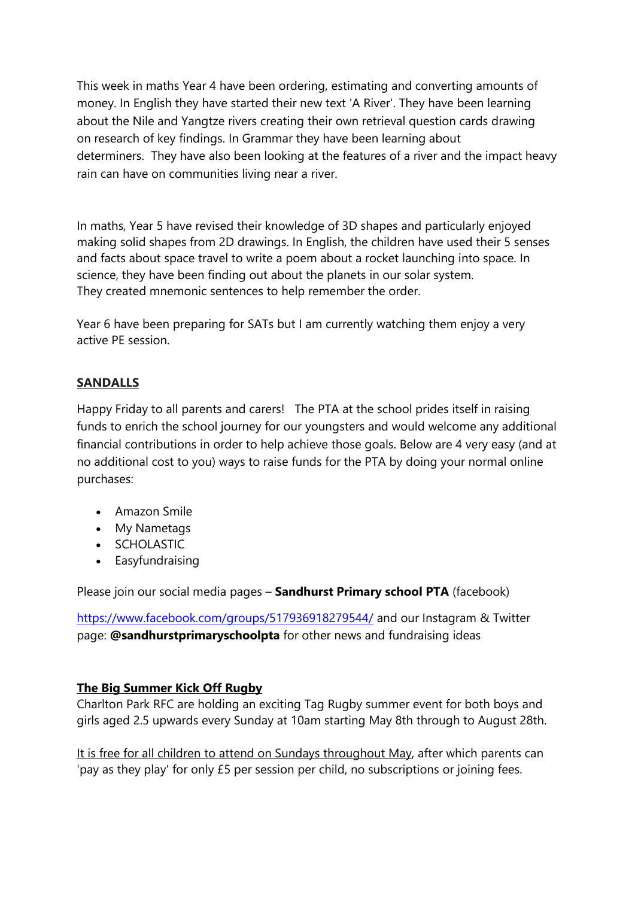This week in maths Year 4 have been ordering, estimating and converting amounts of money. In English they have started their new text 'A River'. They have been learning about the Nile and Yangtze rivers creating their own retrieval question cards drawing on research of key findings. In Grammar they have been learning about determiners. They have also been looking at the features of a river and the impact heavy rain can have on communities living near a river.

In maths, Year 5 have revised their knowledge of 3D shapes and particularly enjoyed making solid shapes from 2D drawings. In English, the children have used their 5 senses and facts about space travel to write a poem about a rocket launching into space. In science, they have been finding out about the planets in our solar system. They created mnemonic sentences to help remember the order.

Year 6 have been preparing for SATs but I am currently watching them enjoy a very active PE session.

# **SANDALLS**

Happy Friday to all parents and carers! The PTA at the school prides itself in raising funds to enrich the school journey for our youngsters and would welcome any additional financial contributions in order to help achieve those goals. Below are 4 very easy (and at no additional cost to you) ways to raise funds for the PTA by doing your normal online purchases:

- Amazon Smile
- My Nametags
- SCHOLASTIC
- Easyfundraising

Please join our social media pages – **Sandhurst Primary school PTA** (facebook)

<https://www.facebook.com/groups/517936918279544/> and our Instagram & Twitter page: **@sandhurstprimaryschoolpta** for other news and fundraising ideas

## **The Big Summer Kick Off Rugby**

Charlton Park RFC are holding an exciting Tag Rugby summer event for both boys and girls aged 2.5 upwards every Sunday at 10am starting May 8th through to August 28th.

It is free for all children to attend on Sundays throughout May, after which parents can 'pay as they play' for only £5 per session per child, no subscriptions or joining fees.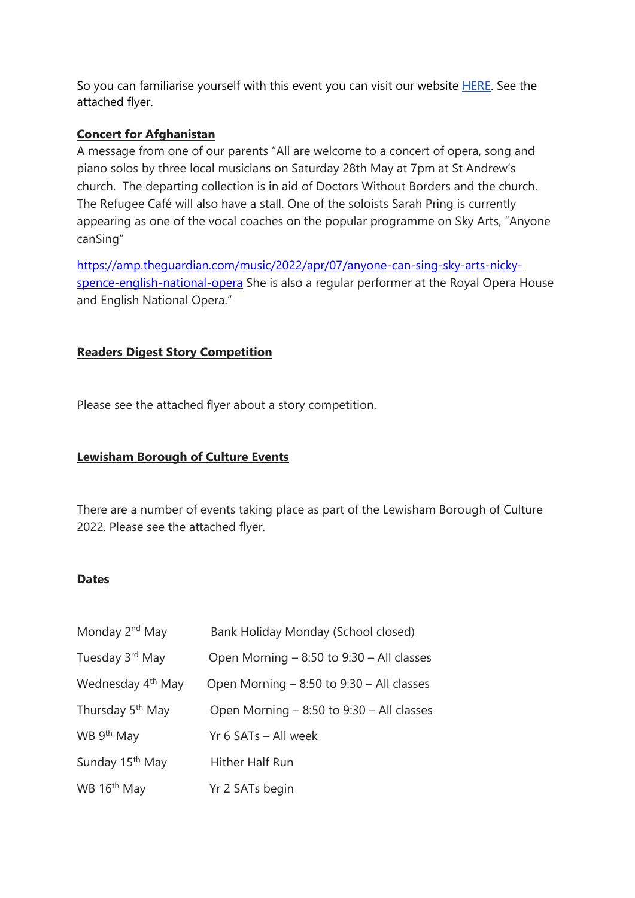So you can familiarise yourself with this event you can visit our website [HERE.](https://rugbytaggers.com/) See the attached flyer.

### **Concert for Afghanistan**

A message from one of our parents "All are welcome to a concert of opera, song and piano solos by three local musicians on Saturday 28th May at 7pm at St Andrew's church. The departing collection is in aid of Doctors Without Borders and the church. The Refugee Café will also have a stall. One of the soloists Sarah Pring is currently appearing as one of the vocal coaches on the popular programme on Sky Arts, "Anyone canSing"

[https://amp.theguardian.com/music/2022/apr/07/anyone-can-sing-sky-arts-nicky](https://amp.theguardian.com/music/2022/apr/07/anyone-can-sing-sky-arts-nicky-spence-english-national-opera)[spence-english-national-opera](https://amp.theguardian.com/music/2022/apr/07/anyone-can-sing-sky-arts-nicky-spence-english-national-opera) She is also a regular performer at the Royal Opera House and English National Opera."

## **Readers Digest Story Competition**

Please see the attached flyer about a story competition.

## **Lewisham Borough of Culture Events**

There are a number of events taking place as part of the Lewisham Borough of Culture 2022. Please see the attached flyer.

#### **Dates**

| Monday 2 <sup>nd</sup> May    | Bank Holiday Monday (School closed)          |
|-------------------------------|----------------------------------------------|
| Tuesday 3rd May               | Open Morning - 8:50 to 9:30 - All classes    |
| Wednesday 4 <sup>th</sup> May | Open Morning $-8:50$ to $9:30 -$ All classes |
| Thursday 5 <sup>th</sup> May  | Open Morning - 8:50 to 9:30 - All classes    |
| WB 9 <sup>th</sup> May        | Yr 6 SATs - All week                         |
| Sunday 15 <sup>th</sup> May   | Hither Half Run                              |
| WB 16 <sup>th</sup> May       | Yr 2 SATs begin                              |